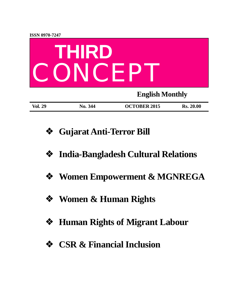

- **❖ Gujarat Anti-Terror Bill**
- **❖ India-Bangladesh Cultural Relations**
- **❖ Women Empowerment & MGNREGA**
- **❖ Women & Human Rights**
- **❖ Human Rights of Migrant Labour**
- **❖ CSR & Financial Inclusion**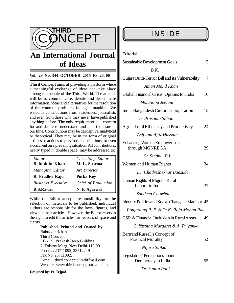

# **An International Journal of Ideas**

### **Vol. 29 No. 344 OCTOBER 2015 Rs. 20. 00**

**Third Concept** aims at providing a platform where a meaningful exchange of ideas can take place among the people of the Third World. The attempt will be to communicate, debate and disseminate information, ideas and alternatives for the resolution of the common problems facing humankind. We welcome contributions from academics, journalists and even from those who may never have published anything before. The only requirement is a concern for and desire to understand and take the issue of our time. Contributions may be descriptive, analytical or theoretical. They may be in the form of original articles, reactions to previous contributions, or even a comment on a prevailing situation. All contributions, neatly typed in double space, may be addressed to:

| Editor                    | Consulting Editor   |
|---------------------------|---------------------|
| <b>Babuddin Khan</b>      | M. L. Sharma        |
| Managing Editor           | Art Director        |
| R. Prudhvi Raju           | Purba Roy           |
| <b>Business Executive</b> | Chief of Production |
| R.S.Rawat                 | N. P. Agarwal       |

While the Editor accepts responsibility for the selection of materials to be published, individual authors are responsible for the facts, figures, and views in their articles. However, the Editor reserves the right to edit the articles for reasons of space and clarity.

**Published, Printed and Owned by** Babuddin Khan Third Concept LB - 39, Prakash Deep Building, 7, Tolstoy Marg, New Delhi-110 001. Phones : 23711092, 23712249 Fax No: 23711092. E-mail : [third.concept@rediffmail.com](mailto:third.concept@rediffmail.com) Website: [www.thirdconceptjournal.co.in](http://www.thirdconceptjournal.co.in)

#### **Designed by**: **Pt. Tejpal**

### **INSIDE**

| Editorial |  |
|-----------|--|
|-----------|--|

| <b>Sustainable Development Goals</b>                       | 5  |
|------------------------------------------------------------|----|
| B.K.                                                       |    |
| Gujarat Anti-Terror Bill and its Vulnerability             | 7  |
| Aman Mohd Khan                                             |    |
| Global Financial Crisis: Options for India                 | 10 |
| Ms. Fiona Jeelani                                          |    |
| India-Bangladesh Cultural Cooperation                      | 15 |
| Dr. Prasanta Sahoo                                         |    |
| Agricultural Efficiency and Productivity                   | 24 |
| Asif and Ajaz Hussain                                      |    |
| <b>Enhancing Women Empowerment</b><br>through MGNREGA      | 29 |
| Sr. Sindhu, P.J                                            |    |
| Women and Human Rights                                     | 34 |
| Dr. Chadreshekhar Bansude                                  |    |
| Human Rights of Migrant Rural<br>Labour in India           | 37 |
| Sandeep Chowhan                                            |    |
| Identity Politics and Social Change in Manipur 45          |    |
| Poujatlung R. P. & Dr.K. Raja Mohan Rao                    |    |
| CSR & Financial Inclusion in Rural Areas                   | 49 |
| S. Yasotha Margaret & A. Priyanka                          |    |
| Bertrand Russell's Concept of<br><b>Practical Morality</b> | 52 |
| Nijara Saikia                                              |    |
| Legislators' Perceptions about<br>Democracy in India       | 55 |
|                                                            |    |

 *Dr. Sunita Rani*